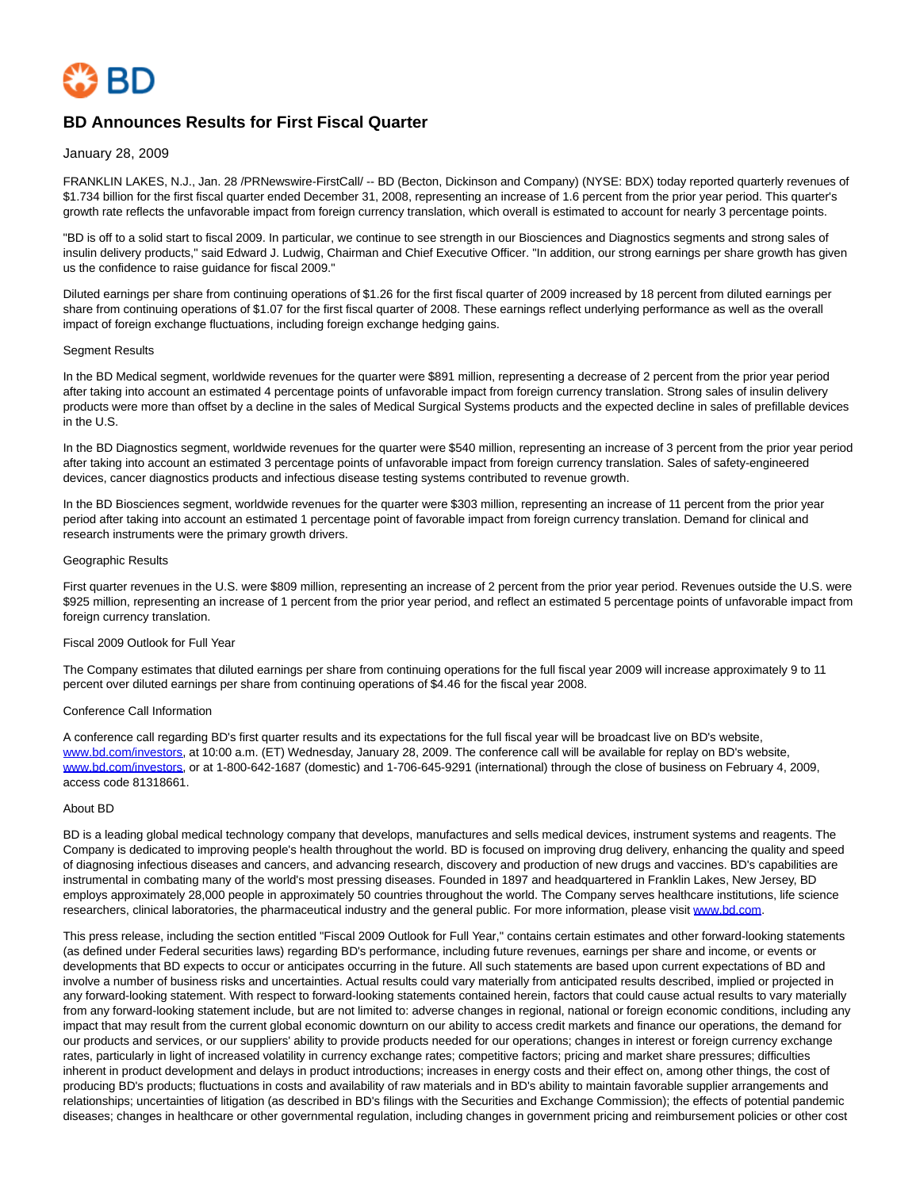

# **BD Announces Results for First Fiscal Quarter**

## January 28, 2009

FRANKLIN LAKES, N.J., Jan. 28 /PRNewswire-FirstCall/ -- BD (Becton, Dickinson and Company) (NYSE: BDX) today reported quarterly revenues of \$1.734 billion for the first fiscal quarter ended December 31, 2008, representing an increase of 1.6 percent from the prior year period. This quarter's growth rate reflects the unfavorable impact from foreign currency translation, which overall is estimated to account for nearly 3 percentage points.

"BD is off to a solid start to fiscal 2009. In particular, we continue to see strength in our Biosciences and Diagnostics segments and strong sales of insulin delivery products," said Edward J. Ludwig, Chairman and Chief Executive Officer. "In addition, our strong earnings per share growth has given us the confidence to raise guidance for fiscal 2009."

Diluted earnings per share from continuing operations of \$1.26 for the first fiscal quarter of 2009 increased by 18 percent from diluted earnings per share from continuing operations of \$1.07 for the first fiscal quarter of 2008. These earnings reflect underlying performance as well as the overall impact of foreign exchange fluctuations, including foreign exchange hedging gains.

## Segment Results

In the BD Medical segment, worldwide revenues for the quarter were \$891 million, representing a decrease of 2 percent from the prior year period after taking into account an estimated 4 percentage points of unfavorable impact from foreign currency translation. Strong sales of insulin delivery products were more than offset by a decline in the sales of Medical Surgical Systems products and the expected decline in sales of prefillable devices in the U.S.

In the BD Diagnostics segment, worldwide revenues for the quarter were \$540 million, representing an increase of 3 percent from the prior year period after taking into account an estimated 3 percentage points of unfavorable impact from foreign currency translation. Sales of safety-engineered devices, cancer diagnostics products and infectious disease testing systems contributed to revenue growth.

In the BD Biosciences segment, worldwide revenues for the quarter were \$303 million, representing an increase of 11 percent from the prior year period after taking into account an estimated 1 percentage point of favorable impact from foreign currency translation. Demand for clinical and research instruments were the primary growth drivers.

#### Geographic Results

First quarter revenues in the U.S. were \$809 million, representing an increase of 2 percent from the prior year period. Revenues outside the U.S. were \$925 million, representing an increase of 1 percent from the prior year period, and reflect an estimated 5 percentage points of unfavorable impact from foreign currency translation.

## Fiscal 2009 Outlook for Full Year

The Company estimates that diluted earnings per share from continuing operations for the full fiscal year 2009 will increase approximately 9 to 11 percent over diluted earnings per share from continuing operations of \$4.46 for the fiscal year 2008.

# Conference Call Information

A conference call regarding BD's first quarter results and its expectations for the full fiscal year will be broadcast live on BD's website, [www.bd.com/investors,](http://www.bd.com/investors) at 10:00 a.m. (ET) Wednesday, January 28, 2009. The conference call will be available for replay on BD's website, [www.bd.com/investors,](http://www.bd.com/investors) or at 1-800-642-1687 (domestic) and 1-706-645-9291 (international) through the close of business on February 4, 2009, access code 81318661.

#### About BD

BD is a leading global medical technology company that develops, manufactures and sells medical devices, instrument systems and reagents. The Company is dedicated to improving people's health throughout the world. BD is focused on improving drug delivery, enhancing the quality and speed of diagnosing infectious diseases and cancers, and advancing research, discovery and production of new drugs and vaccines. BD's capabilities are instrumental in combating many of the world's most pressing diseases. Founded in 1897 and headquartered in Franklin Lakes, New Jersey, BD employs approximately 28,000 people in approximately 50 countries throughout the world. The Company serves healthcare institutions, life science researchers, clinical laboratories, the pharmaceutical industry and the general public. For more information, please visit [www.bd.com.](http://www.bd.com/)

This press release, including the section entitled "Fiscal 2009 Outlook for Full Year," contains certain estimates and other forward-looking statements (as defined under Federal securities laws) regarding BD's performance, including future revenues, earnings per share and income, or events or developments that BD expects to occur or anticipates occurring in the future. All such statements are based upon current expectations of BD and involve a number of business risks and uncertainties. Actual results could vary materially from anticipated results described, implied or projected in any forward-looking statement. With respect to forward-looking statements contained herein, factors that could cause actual results to vary materially from any forward-looking statement include, but are not limited to: adverse changes in regional, national or foreign economic conditions, including any impact that may result from the current global economic downturn on our ability to access credit markets and finance our operations, the demand for our products and services, or our suppliers' ability to provide products needed for our operations; changes in interest or foreign currency exchange rates, particularly in light of increased volatility in currency exchange rates; competitive factors; pricing and market share pressures; difficulties inherent in product development and delays in product introductions; increases in energy costs and their effect on, among other things, the cost of producing BD's products; fluctuations in costs and availability of raw materials and in BD's ability to maintain favorable supplier arrangements and relationships; uncertainties of litigation (as described in BD's filings with the Securities and Exchange Commission); the effects of potential pandemic diseases; changes in healthcare or other governmental regulation, including changes in government pricing and reimbursement policies or other cost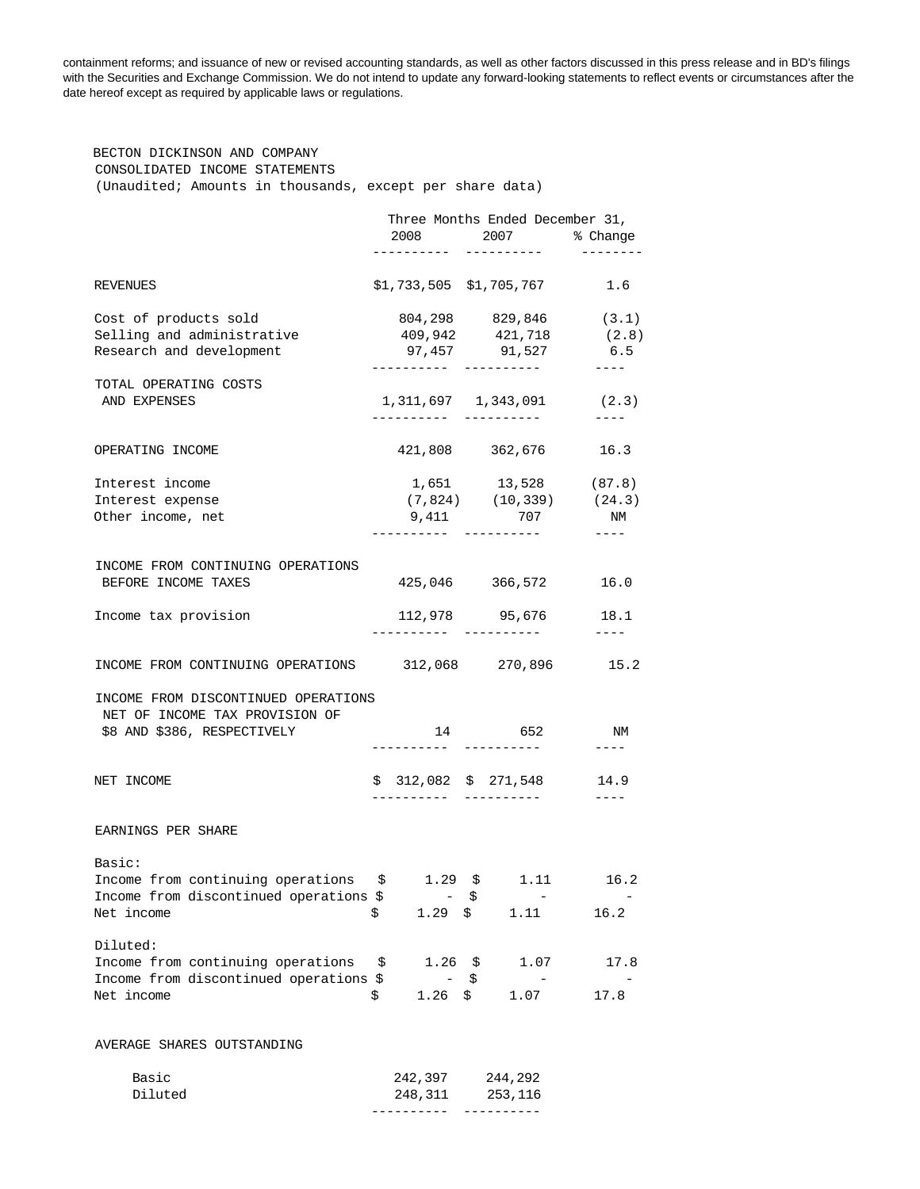containment reforms; and issuance of new or revised accounting standards, as well as other factors discussed in this press release and in BD's filings with the Securities and Exchange Commission. We do not intend to update any forward-looking statements to reflect events or circumstances after the date hereof except as required by applicable laws or regulations.

 BECTON DICKINSON AND COMPANY CONSOLIDATED INCOME STATEMENTS (Unaudited; Amounts in thousands, except per share data)

|                                                                       | Three Months Ended December 31, |                                          |    |                                          |                    |
|-----------------------------------------------------------------------|---------------------------------|------------------------------------------|----|------------------------------------------|--------------------|
|                                                                       |                                 | 2008<br>. _ _ _ _ _ _ _ _ _              |    | 2007 % Change                            |                    |
|                                                                       |                                 |                                          |    | ----------                               |                    |
| REVENUES                                                              |                                 |                                          |    | $$1,733,505$ $$1,705,767$ 1.6            |                    |
| Cost of products sold                                                 |                                 |                                          |    | 804,298 829,846                          | (3.1)              |
| Selling and administrative                                            |                                 |                                          |    | 409,942 421,718                          | (2.8)              |
| Research and development                                              |                                 |                                          |    | 97,457 91,527                            | 6.5                |
| TOTAL OPERATING COSTS                                                 |                                 |                                          |    |                                          | $- - - -$          |
| AND EXPENSES                                                          |                                 | ----------                               |    | 1, 311, 697   1, 343, 091<br>----------- | (2.3)<br>$- - - -$ |
| OPERATING INCOME                                                      |                                 |                                          |    | 421,808 362,676 16.3                     |                    |
|                                                                       |                                 |                                          |    |                                          |                    |
| Interest income                                                       |                                 |                                          |    | 1,651 13,528 (87.8)                      |                    |
| Interest expense                                                      |                                 |                                          |    | $(7,824)$ $(10,339)$ $(24.3)$            |                    |
| Other income, net                                                     |                                 | 9,411                                    |    | 707                                      | NM<br>$- - - - -$  |
|                                                                       |                                 |                                          |    |                                          |                    |
| INCOME FROM CONTINUING OPERATIONS<br>BEFORE INCOME TAXES              |                                 |                                          |    | 425,046 366,572 16.0                     |                    |
| Income tax provision                                                  |                                 |                                          |    | 112,978 95,676                           | 18.1               |
|                                                                       |                                 |                                          |    | -----------                              | $---$              |
| INCOME FROM CONTINUING OPERATIONS 312,068 270,896 15.2                |                                 |                                          |    |                                          |                    |
| INCOME FROM DISCONTINUED OPERATIONS<br>NET OF INCOME TAX PROVISION OF |                                 |                                          |    |                                          |                    |
| \$8 AND \$386, RESPECTIVELY                                           |                                 | ----------                               |    | 14 652<br>----------                     | ΝM<br>$---$        |
| NET INCOME                                                            |                                 |                                          |    | $$312,082 \quad $271,548 \quad 14.9$     |                    |
|                                                                       |                                 | . _ _ _ _ _ _ _                          |    | -----------                              | $- - - - -$        |
| EARNINGS PER SHARE                                                    |                                 |                                          |    |                                          |                    |
| Basic:                                                                |                                 |                                          |    |                                          |                    |
| Income from continuing operations                                     |                                 |                                          |    | $$1.29 \t$ 1.11$                         | 16.2               |
| Income from discontinued operations \$                                |                                 |                                          | \$ |                                          |                    |
| Net income                                                            | \$.                             | $1.29 \pm$                               |    | 1.11                                     | 16.2               |
| Diluted:                                                              |                                 |                                          |    |                                          |                    |
| Income from continuing operations \$                                  |                                 | $1.26 \pm 5$                             |    | 1.07                                     | 17.8               |
| Income from discontinued operations \$<br>Net income                  | \$.                             | $\overline{\phantom{a}}$<br>$1.26 \pm 5$ | \$ | 1.07                                     | 17.8               |
|                                                                       |                                 |                                          |    |                                          |                    |
| AVERAGE SHARES OUTSTANDING                                            |                                 |                                          |    |                                          |                    |
| Basic                                                                 |                                 | 242,397                                  |    | 244,292                                  |                    |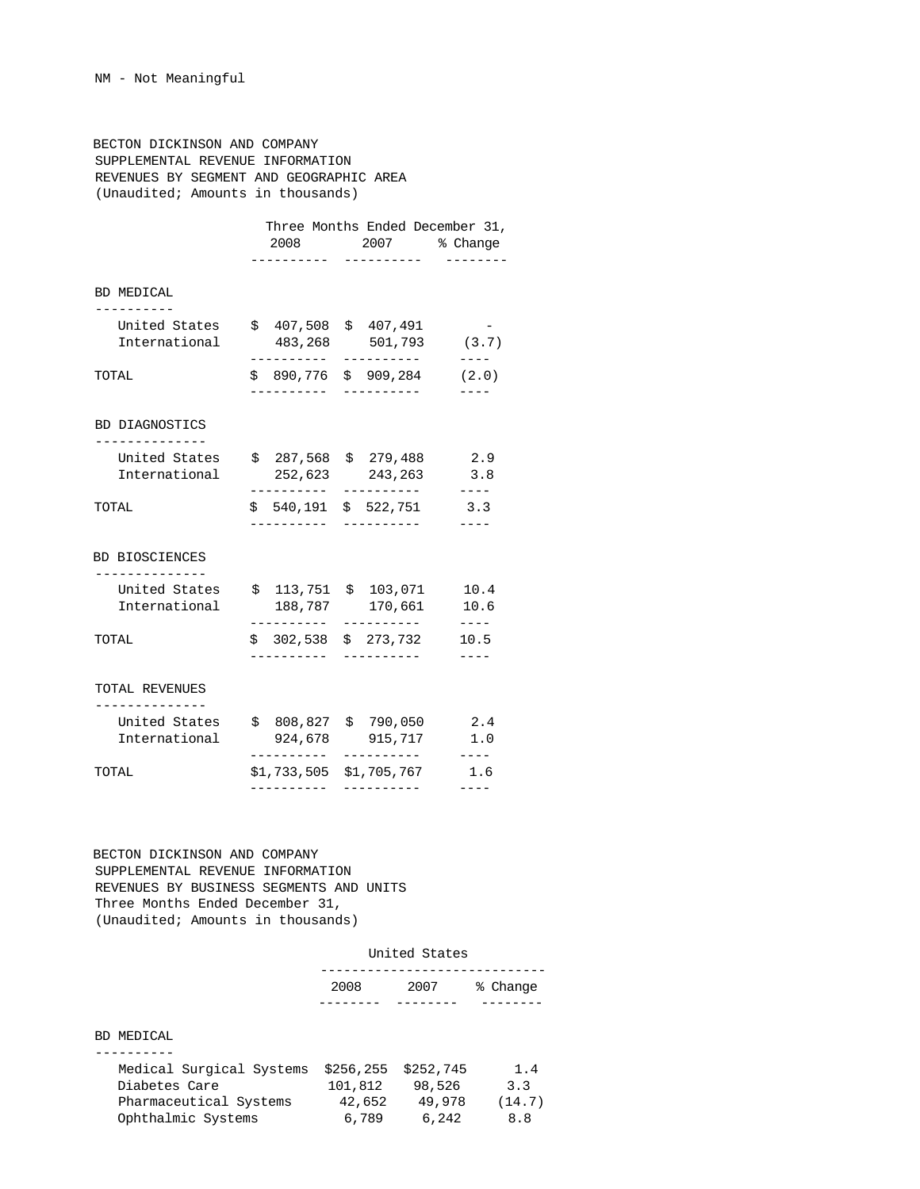BECTON DICKINSON AND COMPANY SUPPLEMENTAL REVENUE INFORMATION REVENUES BY SEGMENT AND GEOGRAPHIC AREA (Unaudited; Amounts in thousands)

|                                |                                             | Three Months Ended December 31,<br>2008 2007<br>---------- | % Change<br>$- - - - -$ |  |
|--------------------------------|---------------------------------------------|------------------------------------------------------------|-------------------------|--|
| BD MEDICAL<br>-----------      |                                             |                                                            |                         |  |
| United States<br>International | \$407,508<br>483,268<br>---------- <b>-</b> | \$407,491<br>501,793<br>----------                         | (3.7)<br>----           |  |
| TOTAL                          | -----------                                 | \$ 890,776 \$ 909,284<br>-----------                       | (2.0)                   |  |
| BD DIAGNOSTICS                 |                                             |                                                            |                         |  |
| United States<br>International | 252,623<br>-------                          | $$287,568 \$279,488$<br>243,263<br>-----------             | 2.9<br>3.8<br>$- - - -$ |  |
| TOTAL                          | \$540,191                                   | \$522,751                                                  | 3.3<br>----             |  |
| BD BIOSCIENCES<br>------------ |                                             |                                                            |                         |  |
| United States<br>International | . <u>.</u>                                  | $$113,751 \$103,071$<br>188,787 170,661<br>__________      | 10.4<br>10.6            |  |
| TOTAL                          | .                                           | $$302,538 \quad $273,732$                                  | ----<br>10.5            |  |
| TOTAL REVENUES                 |                                             |                                                            |                         |  |
| United States<br>International | -----------                                 | \$808,827\$790,050<br>924,678 915,717<br>-----------       | 2.4<br>1.0<br>$- - - -$ |  |
| TOTAL                          |                                             | \$1,733,505 \$1,705,767                                    | 1.6                     |  |

 BECTON DICKINSON AND COMPANY SUPPLEMENTAL REVENUE INFORMATION REVENUES BY BUSINESS SEGMENTS AND UNITS Three Months Ended December 31, (Unaudited; Amounts in thousands)

|                                                                                           | United States                            |                                        |                             |  |  |
|-------------------------------------------------------------------------------------------|------------------------------------------|----------------------------------------|-----------------------------|--|--|
|                                                                                           | 2008                                     | 2007                                   | % Change                    |  |  |
| BD MEDICAL                                                                                |                                          |                                        |                             |  |  |
| Medical Surgical Systems<br>Diabetes Care<br>Pharmaceutical Systems<br>Ophthalmic Systems | \$256, 255<br>101,812<br>42,652<br>6,789 | \$252,745<br>98,526<br>49,978<br>6,242 | 1.4<br>3.3<br>(14.7)<br>8.8 |  |  |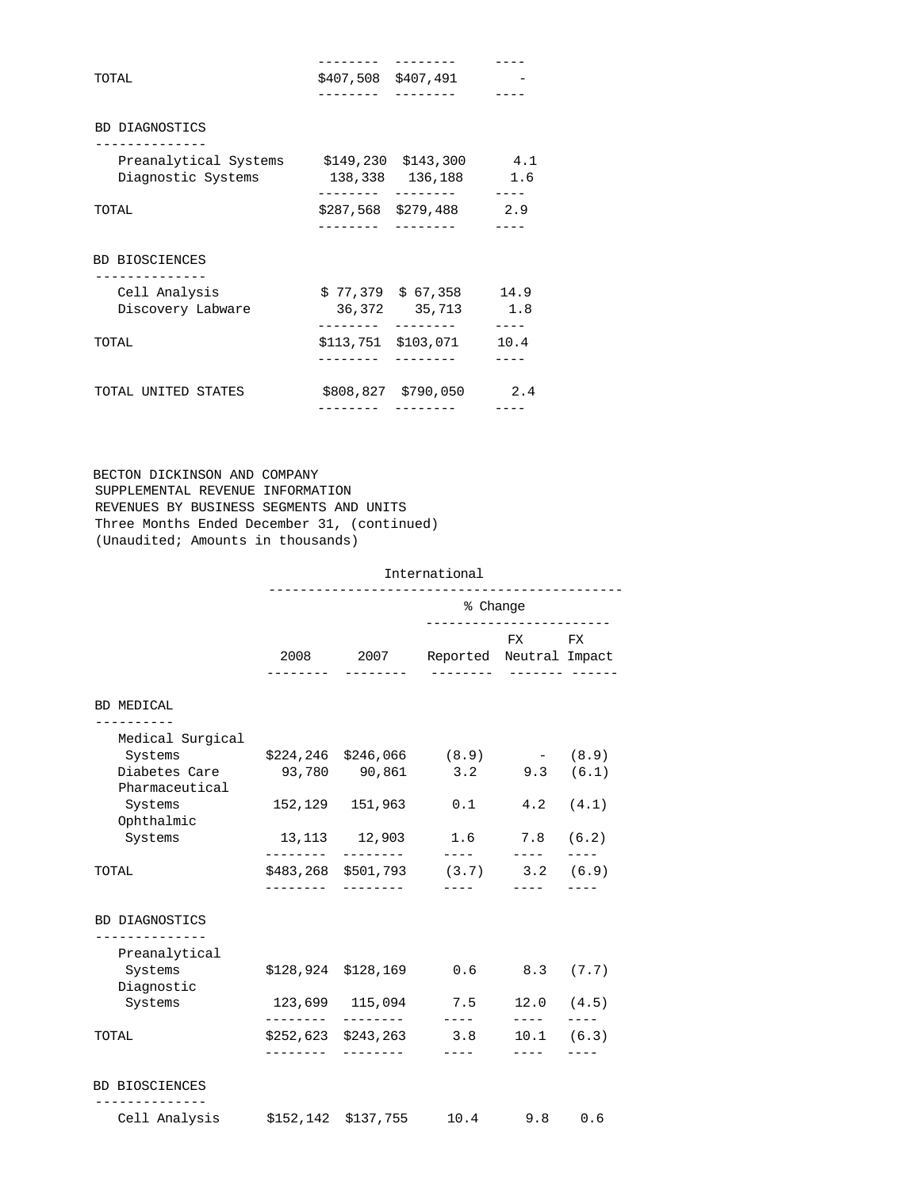| TOTAL                                                               |          | \$407,508 \$407,491                           |               |
|---------------------------------------------------------------------|----------|-----------------------------------------------|---------------|
|                                                                     |          |                                               |               |
| BD DIAGNOSTICS                                                      |          |                                               |               |
| Preanalytical Systems \$149,230 \$143,300 4.1<br>Diagnostic Systems |          | 138,338 136,188 1.6                           |               |
| TOTAL                                                               | ------   | $$287,568$ $$279,488$ 2.9                     |               |
|                                                                     | -------- |                                               |               |
| Cell Analysis<br>Discovery Labware                                  |          | $$77,379$ $$67,358$ 14.9<br>36,372 35,713 1.8 |               |
| BD BIOSCIENCES<br>TOTAL                                             | -------- | --------<br>\$113,751 \$103,071               | $---$<br>10.4 |

 BECTON DICKINSON AND COMPANY SUPPLEMENTAL REVENUE INFORMATION REVENUES BY BUSINESS SEGMENTS AND UNITS Three Months Ended December 31, (continued) (Unaudited; Amounts in thousands)

# International

|                                                  |                 |                           | % Change<br>_________________________                                                                                                                                                                                                                                                                                                                                                                                                                |                                                                                                                                                                                                                                                                                                                                                                                                                                                                                         |               |  |  |
|--------------------------------------------------|-----------------|---------------------------|------------------------------------------------------------------------------------------------------------------------------------------------------------------------------------------------------------------------------------------------------------------------------------------------------------------------------------------------------------------------------------------------------------------------------------------------------|-----------------------------------------------------------------------------------------------------------------------------------------------------------------------------------------------------------------------------------------------------------------------------------------------------------------------------------------------------------------------------------------------------------------------------------------------------------------------------------------|---------------|--|--|
|                                                  |                 | ---------                 | 2008 2007 Reported Neutral Impact                                                                                                                                                                                                                                                                                                                                                                                                                    | FX FX                                                                                                                                                                                                                                                                                                                                                                                                                                                                                   |               |  |  |
|                                                  |                 |                           |                                                                                                                                                                                                                                                                                                                                                                                                                                                      |                                                                                                                                                                                                                                                                                                                                                                                                                                                                                         |               |  |  |
| BD MEDICAL                                       |                 |                           |                                                                                                                                                                                                                                                                                                                                                                                                                                                      |                                                                                                                                                                                                                                                                                                                                                                                                                                                                                         |               |  |  |
| --------<br>Medical Surgical                     |                 |                           |                                                                                                                                                                                                                                                                                                                                                                                                                                                      |                                                                                                                                                                                                                                                                                                                                                                                                                                                                                         |               |  |  |
| Systems                                          |                 |                           | $$224, 246 \quad $246, 066 \quad (8.9)$                                                                                                                                                                                                                                                                                                                                                                                                              | $- (8.9)$                                                                                                                                                                                                                                                                                                                                                                                                                                                                               |               |  |  |
| Diabetes Care<br>Pharmaceutical                  |                 |                           | 93,780 90,861 3.2 9.3 (6.1)                                                                                                                                                                                                                                                                                                                                                                                                                          |                                                                                                                                                                                                                                                                                                                                                                                                                                                                                         |               |  |  |
| Systems<br>Ophthalmic                            |                 | 152,129 151,963           | 0.1                                                                                                                                                                                                                                                                                                                                                                                                                                                  |                                                                                                                                                                                                                                                                                                                                                                                                                                                                                         | $4.2$ $(4.1)$ |  |  |
| Systems                                          | . _ _ _ _ _ _ _ | ---------                 | 13,113 12,903 1.6 7.8 (6.2)                                                                                                                                                                                                                                                                                                                                                                                                                          |                                                                                                                                                                                                                                                                                                                                                                                                                                                                                         | $- - - -$     |  |  |
| TOTAL                                            | ---------       |                           | $\frac{1}{2} \frac{1}{2} \frac{1}{2} \frac{1}{2} \frac{1}{2} \frac{1}{2} \frac{1}{2} \frac{1}{2} \frac{1}{2} \frac{1}{2} \frac{1}{2} \frac{1}{2} \frac{1}{2} \frac{1}{2} \frac{1}{2} \frac{1}{2} \frac{1}{2} \frac{1}{2} \frac{1}{2} \frac{1}{2} \frac{1}{2} \frac{1}{2} \frac{1}{2} \frac{1}{2} \frac{1}{2} \frac{1}{2} \frac{1}{2} \frac{1}{2} \frac{1}{2} \frac{1}{2} \frac{1}{2} \frac{$<br>\$483,268 \$501,793 (3.7) 3.2 (6.9)<br>$\frac{1}{2}$ | $\frac{1}{2} \left( \frac{1}{2} \right) \left( \frac{1}{2} \right) \left( \frac{1}{2} \right) \left( \frac{1}{2} \right) \left( \frac{1}{2} \right) \left( \frac{1}{2} \right) \left( \frac{1}{2} \right) \left( \frac{1}{2} \right) \left( \frac{1}{2} \right) \left( \frac{1}{2} \right) \left( \frac{1}{2} \right) \left( \frac{1}{2} \right) \left( \frac{1}{2} \right) \left( \frac{1}{2} \right) \left( \frac{1}{2} \right) \left( \frac{1}{2} \right) \left( \frac$<br>$- - - -$ |               |  |  |
|                                                  |                 |                           |                                                                                                                                                                                                                                                                                                                                                                                                                                                      |                                                                                                                                                                                                                                                                                                                                                                                                                                                                                         |               |  |  |
| BD DIAGNOSTICS<br>--------------                 |                 |                           |                                                                                                                                                                                                                                                                                                                                                                                                                                                      |                                                                                                                                                                                                                                                                                                                                                                                                                                                                                         |               |  |  |
| Preanalytical                                    |                 |                           |                                                                                                                                                                                                                                                                                                                                                                                                                                                      |                                                                                                                                                                                                                                                                                                                                                                                                                                                                                         |               |  |  |
| Systems<br>Diagnostic                            |                 | $$128,924$ $$128,169$ 0.6 |                                                                                                                                                                                                                                                                                                                                                                                                                                                      | 8.3 (7.7)                                                                                                                                                                                                                                                                                                                                                                                                                                                                               |               |  |  |
| Systems                                          |                 |                           | 123,699 115,094 7.5<br>$\frac{1}{2} \frac{1}{2} \frac{1}{2} \frac{1}{2} \frac{1}{2} \frac{1}{2} \frac{1}{2} \frac{1}{2} \frac{1}{2} \frac{1}{2} \frac{1}{2} \frac{1}{2} \frac{1}{2} \frac{1}{2} \frac{1}{2} \frac{1}{2} \frac{1}{2} \frac{1}{2} \frac{1}{2} \frac{1}{2} \frac{1}{2} \frac{1}{2} \frac{1}{2} \frac{1}{2} \frac{1}{2} \frac{1}{2} \frac{1}{2} \frac{1}{2} \frac{1}{2} \frac{1}{2} \frac{1}{2} \frac{$                                  | $12.0$ $(4.5)$                                                                                                                                                                                                                                                                                                                                                                                                                                                                          | $- - - - -$   |  |  |
| TOTAL                                            | ---------       | $$252,623$ $$243,263$ 3.8 | $---$                                                                                                                                                                                                                                                                                                                                                                                                                                                | $\frac{1}{2} \frac{1}{2} \frac{1}{2} \frac{1}{2} \frac{1}{2} \frac{1}{2} \frac{1}{2} \frac{1}{2} \frac{1}{2} \frac{1}{2} \frac{1}{2} \frac{1}{2} \frac{1}{2} \frac{1}{2} \frac{1}{2} \frac{1}{2} \frac{1}{2} \frac{1}{2} \frac{1}{2} \frac{1}{2} \frac{1}{2} \frac{1}{2} \frac{1}{2} \frac{1}{2} \frac{1}{2} \frac{1}{2} \frac{1}{2} \frac{1}{2} \frac{1}{2} \frac{1}{2} \frac{1}{2} \frac{$<br>$10.1$ (6.3)<br>$---$                                                                   |               |  |  |
| <b>BD BIOSCIENCES</b><br>. _ _ _ _ _ _ _ _ _ _ _ |                 |                           |                                                                                                                                                                                                                                                                                                                                                                                                                                                      |                                                                                                                                                                                                                                                                                                                                                                                                                                                                                         |               |  |  |
|                                                  |                 |                           |                                                                                                                                                                                                                                                                                                                                                                                                                                                      |                                                                                                                                                                                                                                                                                                                                                                                                                                                                                         |               |  |  |